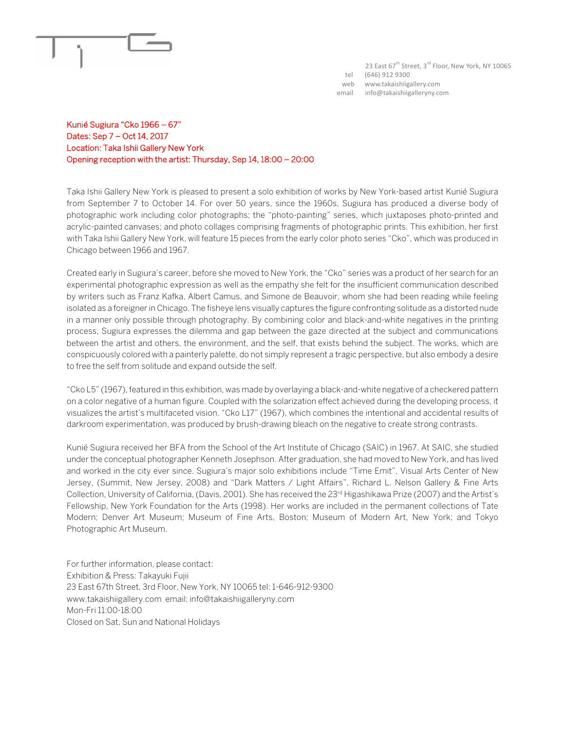

23 East 67<sup>th</sup> Street, 3<sup>rd</sup> Floor, New York, NY 10065 tel (646) 912 9300 web www.takaishiigallery.com email info@takaishiigalleryny.com

## Kunié Sugiura "Cko 1966 – 67" Dates: Sep 7 – Oct 14, 2017 Location: Taka Ishii Gallery New York Opening reception with the artist: Thursday, Sep 14, 18:00 – 20:00

Taka Ishii Gallery New York is pleased to present a solo exhibition of works by New York-based artist Kunié Sugiura from September 7 to October 14. For over 50 years, since the 1960s, Sugiura has produced a diverse body of photographic work including color photographs; the "photo-painting" series, which juxtaposes photo-printed and acrylic-painted canvases; and photo collages comprising fragments of photographic prints. This exhibition, her first with Taka Ishii Gallery New York, will feature 15 pieces from the early color photo series "Cko", which was produced in Chicago between 1966 and 1967.

Created early in Sugiura's career, before she moved to New York, the "Cko" series was a product of her search for an experimental photographic expression as well as the empathy she felt for the insufficient communication described by writers such as Franz Kafka, Albert Camus, and Simone de Beauvoir, whom she had been reading while feeling isolated as a foreigner in Chicago. The fisheye lens visually captures the figure confronting solitude as a distorted nude in a manner only possible through photography. By combining color and black-and-white negatives in the printing process, Sugiura expresses the dilemma and gap between the gaze directed at the subject and communications between the artist and others, the environment, and the self, that exists behind the subject. The works, which are conspicuously colored with a painterly palette, do not simply represent a tragic perspective, but also embody a desire to free the self from solitude and expand outside the self.

"Cko L5" (1967), featured in this exhibition, was made by overlaying a black-and-white negative of a checkered pattern on a color negative of a human figure. Coupled with the solarization effect achieved during the developing process, it visualizes the artist's multifaceted vision. "Cko L17" (1967), which combines the intentional and accidental results of darkroom experimentation, was produced by brush-drawing bleach on the negative to create strong contrasts.

Kunié Sugiura received her BFA from the School of the Art Institute of Chicago (SAIC) in 1967. At SAIC, she studied under the conceptual photographer Kenneth Josephson. After graduation, she had moved to New York, and has lived and worked in the city ever since. Sugiura's major solo exhibitions include "Time Emit", Visual Arts Center of New Jersey, (Summit, New Jersey, 2008) and "Dark Matters / Light Affairs", Richard L. Nelson Gallery & Fine Arts Collection, University of California, (Davis, 2001). She has received the 23rd Higashikawa Prize (2007) and the Artist's Fellowship, New York Foundation for the Arts (1998). Her works are included in the permanent collections of Tate Modern; Denver Art Museum; Museum of Fine Arts, Boston; Museum of Modern Art, New York; and Tokyo Photographic Art Museum.

For further information, please contact: Exhibition & Press: Takayuki Fujii 23 East 67th Street, 3rd Floor, New York, NY 10065 tel: 1-646-912-9300 www.takaishiigallery.com email: info@takaishiigalleryny.com Mon-Fri 11:00-18:00 Closed on Sat, Sun and National Holidays